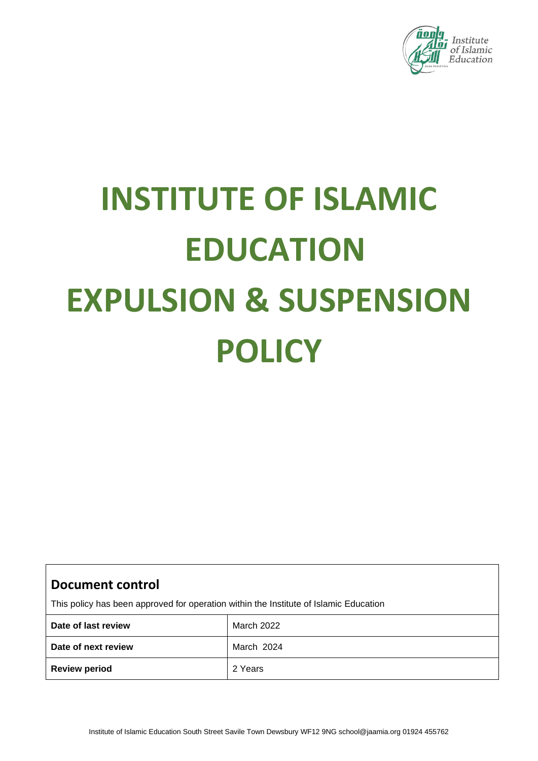

# **INSTITUTE OF ISLAMIC EDUCATION EXPULSION & SUSPENSION POLICY**

| <b>Document control</b><br>This policy has been approved for operation within the Institute of Islamic Education |            |  |  |
|------------------------------------------------------------------------------------------------------------------|------------|--|--|
| Date of last review                                                                                              | March 2022 |  |  |
| Date of next review                                                                                              | March 2024 |  |  |
| <b>Review period</b>                                                                                             | 2 Years    |  |  |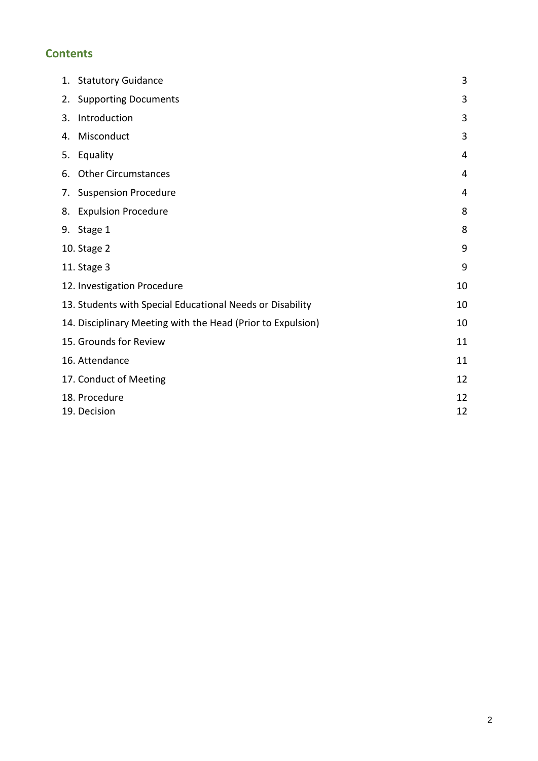# **Contents**

|    | 1. Statutory Guidance                                       | 3              |
|----|-------------------------------------------------------------|----------------|
| 2. | <b>Supporting Documents</b>                                 | 3              |
| 3. | Introduction                                                | 3              |
| 4. | Misconduct                                                  | 3              |
| 5. | Equality                                                    | $\overline{4}$ |
| 6. | <b>Other Circumstances</b>                                  | $\overline{4}$ |
| 7. | <b>Suspension Procedure</b>                                 | 4              |
|    | 8. Expulsion Procedure                                      | 8              |
|    | 9. Stage 1                                                  | 8              |
|    | 10. Stage 2                                                 | 9              |
|    | 11. Stage 3                                                 | 9              |
|    | 12. Investigation Procedure                                 | 10             |
|    | 13. Students with Special Educational Needs or Disability   | 10             |
|    | 14. Disciplinary Meeting with the Head (Prior to Expulsion) | 10             |
|    | 15. Grounds for Review                                      | 11             |
|    | 16. Attendance                                              | 11             |
|    | 17. Conduct of Meeting                                      | 12             |
|    | 18. Procedure<br>19. Decision                               | 12<br>12       |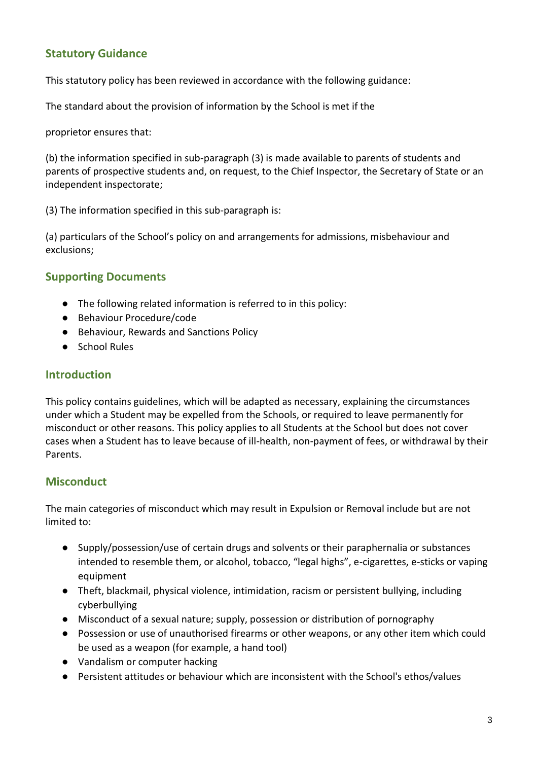# **Statutory Guidance**

This statutory policy has been reviewed in accordance with the following guidance:

The standard about the provision of information by the School is met if the

proprietor ensures that:

(b) the information specified in sub-paragraph (3) is made available to parents of students and parents of prospective students and, on request, to the Chief Inspector, the Secretary of State or an independent inspectorate;

(3) The information specified in this sub-paragraph is:

(a) particulars of the School's policy on and arrangements for admissions, misbehaviour and exclusions;

## **Supporting Documents**

- The following related information is referred to in this policy:
- Behaviour Procedure/code
- Behaviour, Rewards and Sanctions Policy
- School Rules

## **Introduction**

This policy contains guidelines, which will be adapted as necessary, explaining the circumstances under which a Student may be expelled from the Schools, or required to leave permanently for misconduct or other reasons. This policy applies to all Students at the School but does not cover cases when a Student has to leave because of ill-health, non-payment of fees, or withdrawal by their Parents.

## **Misconduct**

The main categories of misconduct which may result in Expulsion or Removal include but are not limited to:

- Supply/possession/use of certain drugs and solvents or their paraphernalia or substances intended to resemble them, or alcohol, tobacco, "legal highs", e-cigarettes, e-sticks or vaping equipment
- Theft, blackmail, physical violence, intimidation, racism or persistent bullying, including cyberbullying
- Misconduct of a sexual nature; supply, possession or distribution of pornography
- Possession or use of unauthorised firearms or other weapons, or any other item which could be used as a weapon (for example, a hand tool)
- Vandalism or computer hacking
- Persistent attitudes or behaviour which are inconsistent with the School's ethos/values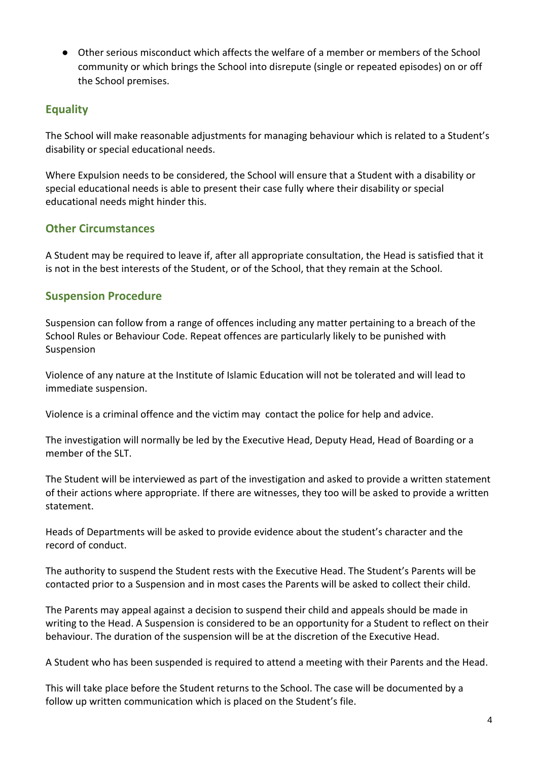● Other serious misconduct which affects the welfare of a member or members of the School community or which brings the School into disrepute (single or repeated episodes) on or off the School premises.

# **Equality**

The School will make reasonable adjustments for managing behaviour which is related to a Student's disability or special educational needs.

Where Expulsion needs to be considered, the School will ensure that a Student with a disability or special educational needs is able to present their case fully where their disability or special educational needs might hinder this.

## **Other Circumstances**

A Student may be required to leave if, after all appropriate consultation, the Head is satisfied that it is not in the best interests of the Student, or of the School, that they remain at the School.

# **Suspension Procedure**

Suspension can follow from a range of offences including any matter pertaining to a breach of the School Rules or Behaviour Code. Repeat offences are particularly likely to be punished with Suspension

Violence of any nature at the Institute of Islamic Education will not be tolerated and will lead to immediate suspension.

Violence is a criminal offence and the victim may contact the police for help and advice.

The investigation will normally be led by the Executive Head, Deputy Head, Head of Boarding or a member of the SLT.

The Student will be interviewed as part of the investigation and asked to provide a written statement of their actions where appropriate. If there are witnesses, they too will be asked to provide a written statement.

Heads of Departments will be asked to provide evidence about the student's character and the record of conduct.

The authority to suspend the Student rests with the Executive Head. The Student's Parents will be contacted prior to a Suspension and in most cases the Parents will be asked to collect their child.

The Parents may appeal against a decision to suspend their child and appeals should be made in writing to the Head. A Suspension is considered to be an opportunity for a Student to reflect on their behaviour. The duration of the suspension will be at the discretion of the Executive Head.

A Student who has been suspended is required to attend a meeting with their Parents and the Head.

This will take place before the Student returns to the School. The case will be documented by a follow up written communication which is placed on the Student's file.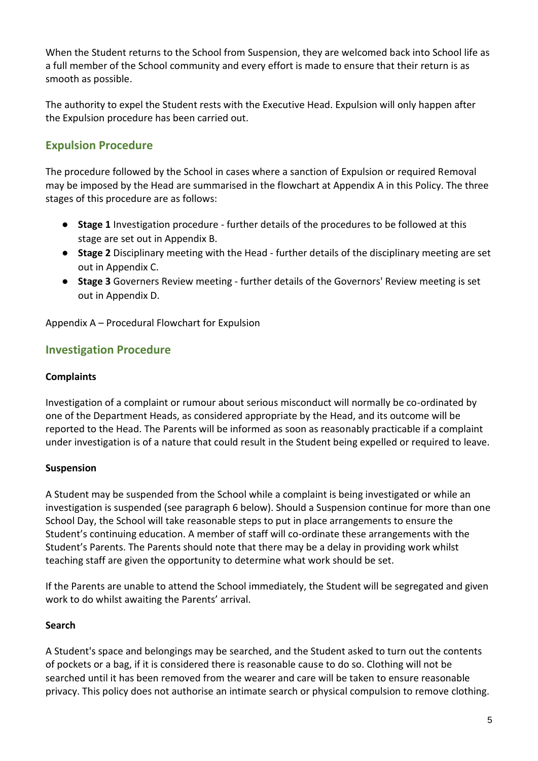When the Student returns to the School from Suspension, they are welcomed back into School life as a full member of the School community and every effort is made to ensure that their return is as smooth as possible.

The authority to expel the Student rests with the Executive Head. Expulsion will only happen after the Expulsion procedure has been carried out.

# **Expulsion Procedure**

The procedure followed by the School in cases where a sanction of Expulsion or required Removal may be imposed by the Head are summarised in the flowchart at Appendix A in this Policy. The three stages of this procedure are as follows:

- **Stage 1** Investigation procedure further details of the procedures to be followed at this stage are set out in Appendix B.
- **Stage 2** Disciplinary meeting with the Head further details of the disciplinary meeting are set out in Appendix C.
- **Stage 3** Governers Review meeting further details of the Governors' Review meeting is set out in Appendix D.

Appendix A – Procedural Flowchart for Expulsion

## **Investigation Procedure**

#### **Complaints**

Investigation of a complaint or rumour about serious misconduct will normally be co-ordinated by one of the Department Heads, as considered appropriate by the Head, and its outcome will be reported to the Head. The Parents will be informed as soon as reasonably practicable if a complaint under investigation is of a nature that could result in the Student being expelled or required to leave.

#### **Suspension**

A Student may be suspended from the School while a complaint is being investigated or while an investigation is suspended (see paragraph 6 below). Should a Suspension continue for more than one School Day, the School will take reasonable steps to put in place arrangements to ensure the Student's continuing education. A member of staff will co-ordinate these arrangements with the Student's Parents. The Parents should note that there may be a delay in providing work whilst teaching staff are given the opportunity to determine what work should be set.

If the Parents are unable to attend the School immediately, the Student will be segregated and given work to do whilst awaiting the Parents' arrival.

#### **Search**

A Student's space and belongings may be searched, and the Student asked to turn out the contents of pockets or a bag, if it is considered there is reasonable cause to do so. Clothing will not be searched until it has been removed from the wearer and care will be taken to ensure reasonable privacy. This policy does not authorise an intimate search or physical compulsion to remove clothing.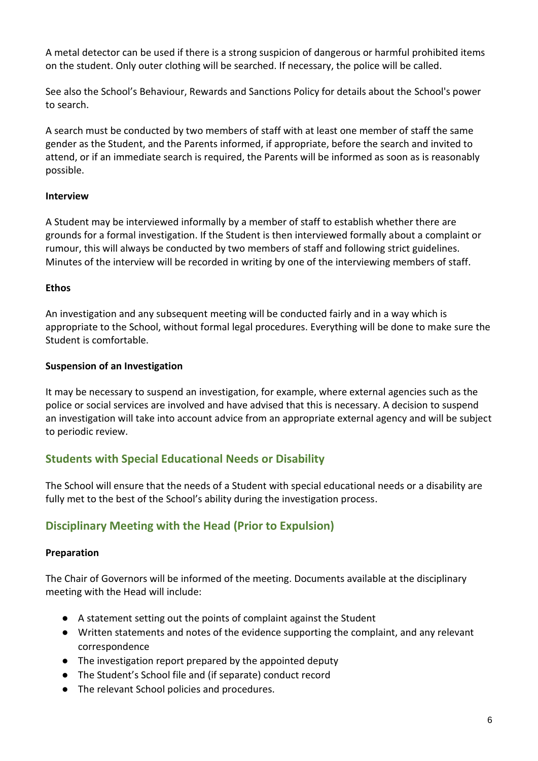A metal detector can be used if there is a strong suspicion of dangerous or harmful prohibited items on the student. Only outer clothing will be searched. If necessary, the police will be called.

See also the School's Behaviour, Rewards and Sanctions Policy for details about the School's power to search.

A search must be conducted by two members of staff with at least one member of staff the same gender as the Student, and the Parents informed, if appropriate, before the search and invited to attend, or if an immediate search is required, the Parents will be informed as soon as is reasonably possible.

## **Interview**

A Student may be interviewed informally by a member of staff to establish whether there are grounds for a formal investigation. If the Student is then interviewed formally about a complaint or rumour, this will always be conducted by two members of staff and following strict guidelines. Minutes of the interview will be recorded in writing by one of the interviewing members of staff.

#### **Ethos**

An investigation and any subsequent meeting will be conducted fairly and in a way which is appropriate to the School, without formal legal procedures. Everything will be done to make sure the Student is comfortable.

#### **Suspension of an Investigation**

It may be necessary to suspend an investigation, for example, where external agencies such as the police or social services are involved and have advised that this is necessary. A decision to suspend an investigation will take into account advice from an appropriate external agency and will be subject to periodic review.

# **Students with Special Educational Needs or Disability**

The School will ensure that the needs of a Student with special educational needs or a disability are fully met to the best of the School's ability during the investigation process.

# **Disciplinary Meeting with the Head (Prior to Expulsion)**

#### **Preparation**

The Chair of Governors will be informed of the meeting. Documents available at the disciplinary meeting with the Head will include:

- A statement setting out the points of complaint against the Student
- Written statements and notes of the evidence supporting the complaint, and any relevant correspondence
- The investigation report prepared by the appointed deputy
- The Student's School file and (if separate) conduct record
- The relevant School policies and procedures.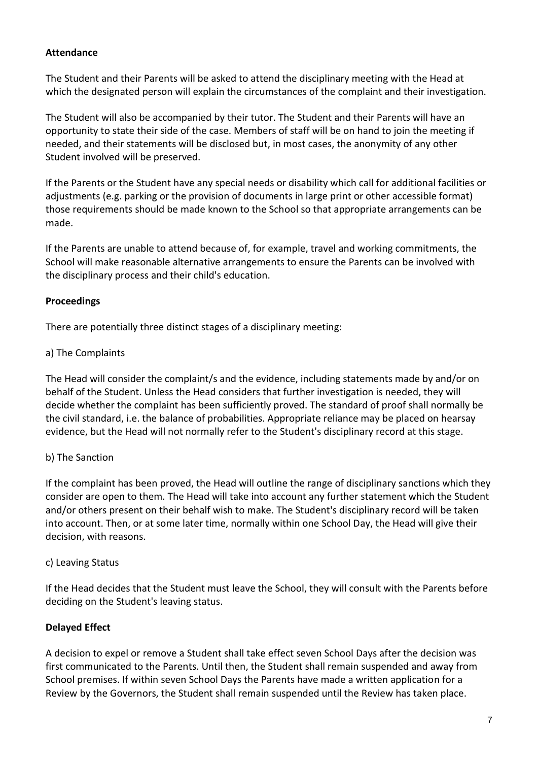### **Attendance**

The Student and their Parents will be asked to attend the disciplinary meeting with the Head at which the designated person will explain the circumstances of the complaint and their investigation.

The Student will also be accompanied by their tutor. The Student and their Parents will have an opportunity to state their side of the case. Members of staff will be on hand to join the meeting if needed, and their statements will be disclosed but, in most cases, the anonymity of any other Student involved will be preserved.

If the Parents or the Student have any special needs or disability which call for additional facilities or adjustments (e.g. parking or the provision of documents in large print or other accessible format) those requirements should be made known to the School so that appropriate arrangements can be made.

If the Parents are unable to attend because of, for example, travel and working commitments, the School will make reasonable alternative arrangements to ensure the Parents can be involved with the disciplinary process and their child's education.

#### **Proceedings**

There are potentially three distinct stages of a disciplinary meeting:

#### a) The Complaints

The Head will consider the complaint/s and the evidence, including statements made by and/or on behalf of the Student. Unless the Head considers that further investigation is needed, they will decide whether the complaint has been sufficiently proved. The standard of proof shall normally be the civil standard, i.e. the balance of probabilities. Appropriate reliance may be placed on hearsay evidence, but the Head will not normally refer to the Student's disciplinary record at this stage.

#### b) The Sanction

If the complaint has been proved, the Head will outline the range of disciplinary sanctions which they consider are open to them. The Head will take into account any further statement which the Student and/or others present on their behalf wish to make. The Student's disciplinary record will be taken into account. Then, or at some later time, normally within one School Day, the Head will give their decision, with reasons.

#### c) Leaving Status

If the Head decides that the Student must leave the School, they will consult with the Parents before deciding on the Student's leaving status.

#### **Delayed Effect**

A decision to expel or remove a Student shall take effect seven School Days after the decision was first communicated to the Parents. Until then, the Student shall remain suspended and away from School premises. If within seven School Days the Parents have made a written application for a Review by the Governors, the Student shall remain suspended until the Review has taken place.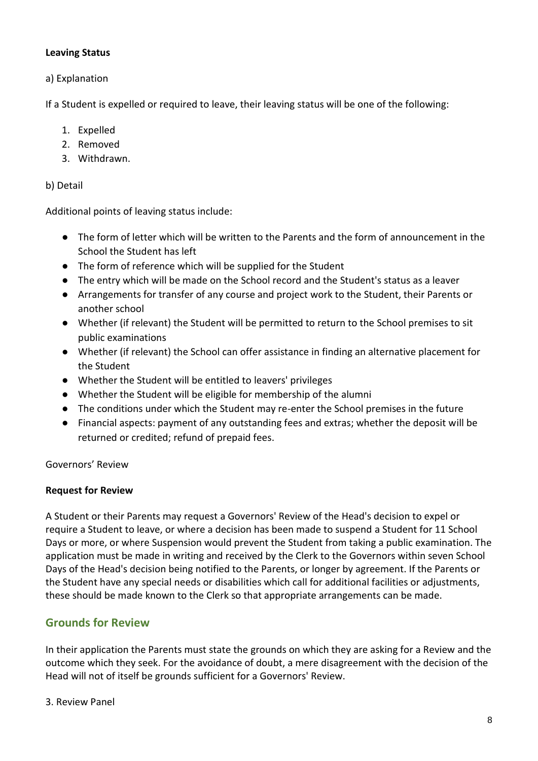#### **Leaving Status**

a) Explanation

If a Student is expelled or required to leave, their leaving status will be one of the following:

- 1. Expelled
- 2. Removed
- 3. Withdrawn.

#### b) Detail

Additional points of leaving status include:

- The form of letter which will be written to the Parents and the form of announcement in the School the Student has left
- The form of reference which will be supplied for the Student
- The entry which will be made on the School record and the Student's status as a leaver
- Arrangements for transfer of any course and project work to the Student, their Parents or another school
- Whether (if relevant) the Student will be permitted to return to the School premises to sit public examinations
- Whether (if relevant) the School can offer assistance in finding an alternative placement for the Student
- Whether the Student will be entitled to leavers' privileges
- Whether the Student will be eligible for membership of the alumni
- The conditions under which the Student may re-enter the School premises in the future
- Financial aspects: payment of any outstanding fees and extras; whether the deposit will be returned or credited; refund of prepaid fees.

Governors' Review

#### **Request for Review**

A Student or their Parents may request a Governors' Review of the Head's decision to expel or require a Student to leave, or where a decision has been made to suspend a Student for 11 School Days or more, or where Suspension would prevent the Student from taking a public examination. The application must be made in writing and received by the Clerk to the Governors within seven School Days of the Head's decision being notified to the Parents, or longer by agreement. If the Parents or the Student have any special needs or disabilities which call for additional facilities or adjustments, these should be made known to the Clerk so that appropriate arrangements can be made.

## **Grounds for Review**

In their application the Parents must state the grounds on which they are asking for a Review and the outcome which they seek. For the avoidance of doubt, a mere disagreement with the decision of the Head will not of itself be grounds sufficient for a Governors' Review.

3. Review Panel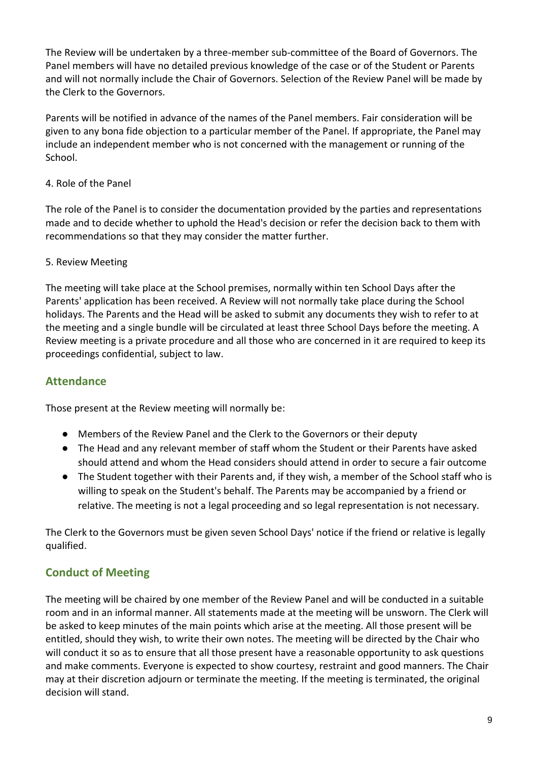The Review will be undertaken by a three-member sub-committee of the Board of Governors. The Panel members will have no detailed previous knowledge of the case or of the Student or Parents and will not normally include the Chair of Governors. Selection of the Review Panel will be made by the Clerk to the Governors.

Parents will be notified in advance of the names of the Panel members. Fair consideration will be given to any bona fide objection to a particular member of the Panel. If appropriate, the Panel may include an independent member who is not concerned with the management or running of the School.

## 4. Role of the Panel

The role of the Panel is to consider the documentation provided by the parties and representations made and to decide whether to uphold the Head's decision or refer the decision back to them with recommendations so that they may consider the matter further.

#### 5. Review Meeting

The meeting will take place at the School premises, normally within ten School Days after the Parents' application has been received. A Review will not normally take place during the School holidays. The Parents and the Head will be asked to submit any documents they wish to refer to at the meeting and a single bundle will be circulated at least three School Days before the meeting. A Review meeting is a private procedure and all those who are concerned in it are required to keep its proceedings confidential, subject to law.

## **Attendance**

Those present at the Review meeting will normally be:

- Members of the Review Panel and the Clerk to the Governors or their deputy
- The Head and any relevant member of staff whom the Student or their Parents have asked should attend and whom the Head considers should attend in order to secure a fair outcome
- The Student together with their Parents and, if they wish, a member of the School staff who is willing to speak on the Student's behalf. The Parents may be accompanied by a friend or relative. The meeting is not a legal proceeding and so legal representation is not necessary.

The Clerk to the Governors must be given seven School Days' notice if the friend or relative is legally qualified.

# **Conduct of Meeting**

The meeting will be chaired by one member of the Review Panel and will be conducted in a suitable room and in an informal manner. All statements made at the meeting will be unsworn. The Clerk will be asked to keep minutes of the main points which arise at the meeting. All those present will be entitled, should they wish, to write their own notes. The meeting will be directed by the Chair who will conduct it so as to ensure that all those present have a reasonable opportunity to ask questions and make comments. Everyone is expected to show courtesy, restraint and good manners. The Chair may at their discretion adjourn or terminate the meeting. If the meeting is terminated, the original decision will stand.